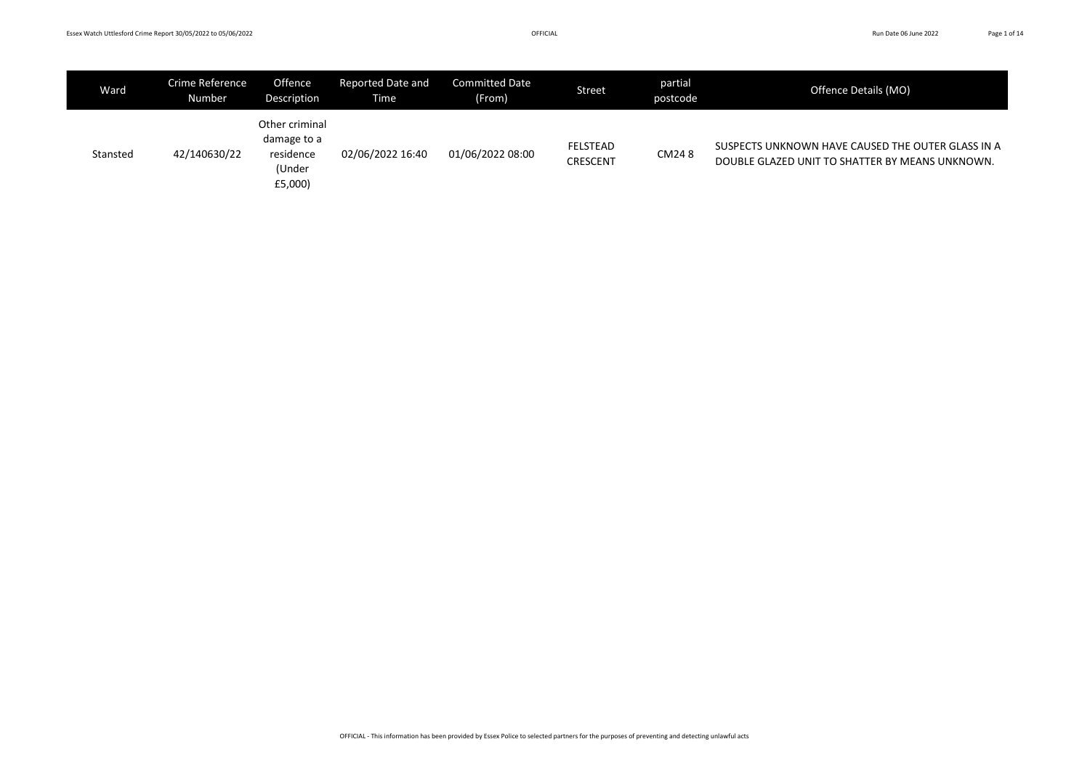| Ward     | Crime Reference<br>Number | Offence<br>Description                                          | Reported Date and<br>Time | <b>Committed Date</b><br>(From) | <b>Street</b>        | partial<br>postcode | Offence Details (MO)                                                                                 |
|----------|---------------------------|-----------------------------------------------------------------|---------------------------|---------------------------------|----------------------|---------------------|------------------------------------------------------------------------------------------------------|
| Stansted | 42/140630/22              | Other criminal<br>damage to a<br>residence<br>(Under<br>£5,000) | 02/06/2022 16:40          | 01/06/2022 08:00                | FELSTEAD<br>CRESCENT | CM248               | SUSPECTS UNKNOWN HAVE CAUSED THE OUTER GLASS IN A<br>DOUBLE GLAZED UNIT TO SHATTER BY MEANS UNKNOWN. |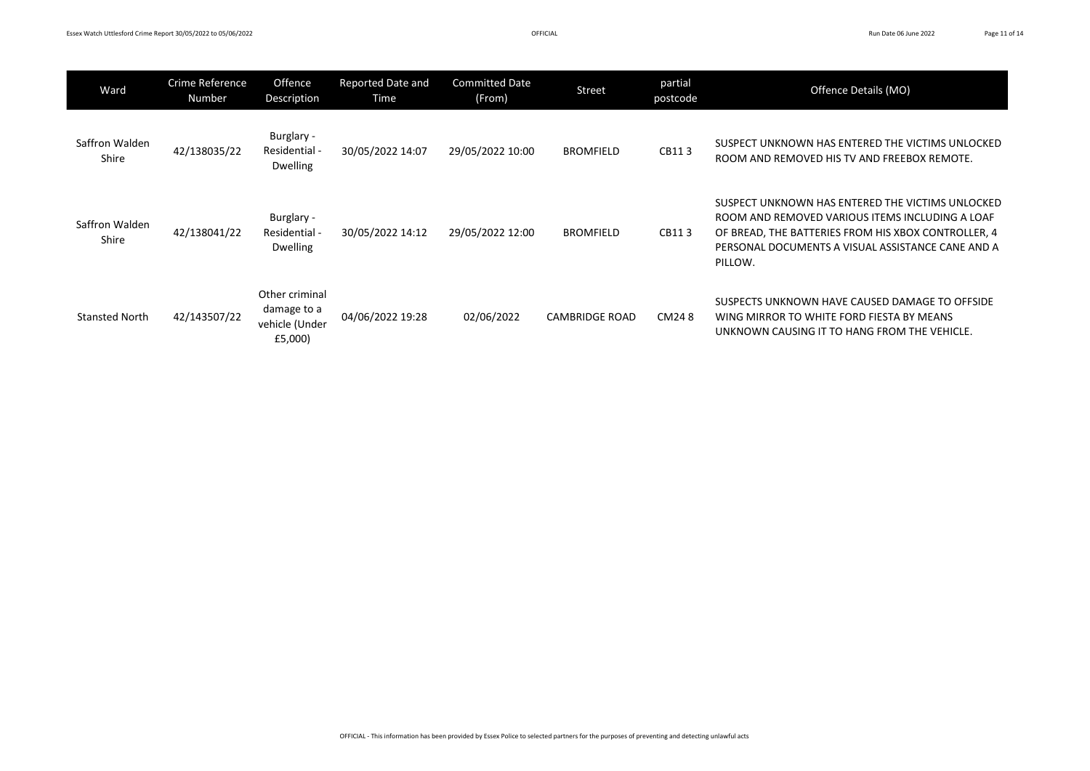| Ward                    | Crime Reference<br>Number | Offence<br>Description                                     | Reported Date and<br>Time | <b>Committed Date</b><br>(From) | Street                | partial<br>postcode | Offence Details (MO)                                                                                                                                                                                                       |
|-------------------------|---------------------------|------------------------------------------------------------|---------------------------|---------------------------------|-----------------------|---------------------|----------------------------------------------------------------------------------------------------------------------------------------------------------------------------------------------------------------------------|
| Saffron Walden<br>Shire | 42/138035/22              | Burglary -<br>Residential -<br>Dwelling                    | 30/05/2022 14:07          | 29/05/2022 10:00                | <b>BROMFIELD</b>      | CB113               | SUSPECT UNKNOWN HAS ENTERED THE VICTIMS UNLOCKED<br>ROOM AND REMOVED HIS TV AND FREEBOX REMOTE.                                                                                                                            |
| Saffron Walden<br>Shire | 42/138041/22              | Burglary -<br>Residential -<br>Dwelling                    | 30/05/2022 14:12          | 29/05/2022 12:00                | <b>BROMFIELD</b>      | CB113               | SUSPECT UNKNOWN HAS ENTERED THE VICTIMS UNLOCKED<br>ROOM AND REMOVED VARIOUS ITEMS INCLUDING A LOAF<br>OF BREAD, THE BATTERIES FROM HIS XBOX CONTROLLER, 4<br>PERSONAL DOCUMENTS A VISUAL ASSISTANCE CANE AND A<br>PILLOW. |
| <b>Stansted North</b>   | 42/143507/22              | Other criminal<br>damage to a<br>vehicle (Under<br>£5,000) | 04/06/2022 19:28          | 02/06/2022                      | <b>CAMBRIDGE ROAD</b> | CM248               | SUSPECTS UNKNOWN HAVE CAUSED DAMAGE TO OFFSIDE<br>WING MIRROR TO WHITE FORD FIESTA BY MEANS<br>UNKNOWN CAUSING IT TO HANG FROM THE VEHICLE.                                                                                |